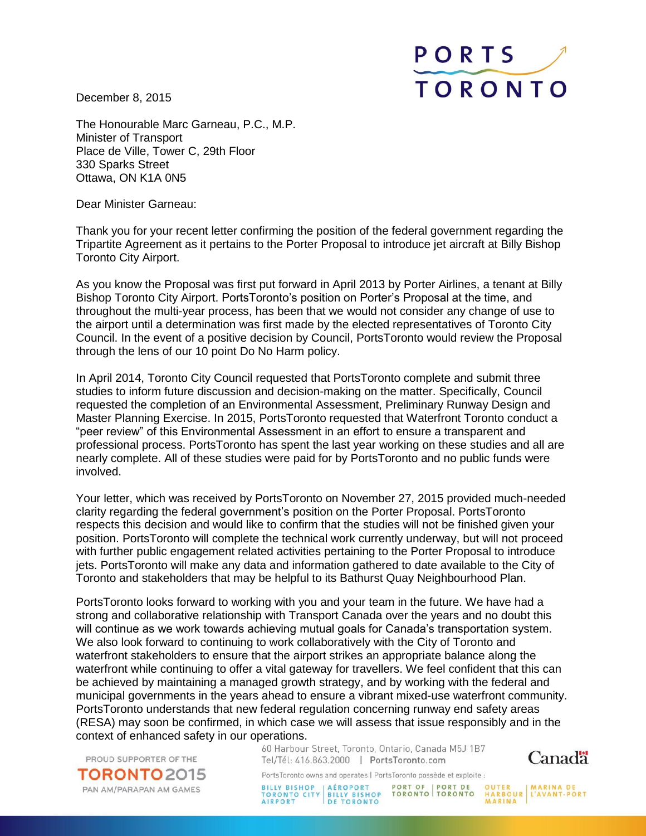December 8, 2015



The Honourable Marc Garneau, P.C., M.P. Minister of Transport Place de Ville, Tower C, 29th Floor 330 Sparks Street Ottawa, ON K1A 0N5

Dear Minister Garneau:

Thank you for your recent letter confirming the position of the federal government regarding the Tripartite Agreement as it pertains to the Porter Proposal to introduce jet aircraft at Billy Bishop Toronto City Airport.

As you know the Proposal was first put forward in April 2013 by Porter Airlines, a tenant at Billy Bishop Toronto City Airport. PortsToronto's position on Porter's Proposal at the time, and throughout the multi-year process, has been that we would not consider any change of use to the airport until a determination was first made by the elected representatives of Toronto City Council. In the event of a positive decision by Council, PortsToronto would review the Proposal through the lens of our 10 point Do No Harm policy.

In April 2014, Toronto City Council requested that PortsToronto complete and submit three studies to inform future discussion and decision-making on the matter. Specifically, Council requested the completion of an Environmental Assessment, Preliminary Runway Design and Master Planning Exercise. In 2015, PortsToronto requested that Waterfront Toronto conduct a "peer review" of this Environmental Assessment in an effort to ensure a transparent and professional process. PortsToronto has spent the last year working on these studies and all are nearly complete. All of these studies were paid for by PortsToronto and no public funds were involved.

Your letter, which was received by PortsToronto on November 27, 2015 provided much-needed clarity regarding the federal government's position on the Porter Proposal. PortsToronto respects this decision and would like to confirm that the studies will not be finished given your position. PortsToronto will complete the technical work currently underway, but will not proceed with further public engagement related activities pertaining to the Porter Proposal to introduce jets. PortsToronto will make any data and information gathered to date available to the City of Toronto and stakeholders that may be helpful to its Bathurst Quay Neighbourhood Plan.

PortsToronto looks forward to working with you and your team in the future. We have had a strong and collaborative relationship with Transport Canada over the years and no doubt this will continue as we work towards achieving mutual goals for Canada's transportation system. We also look forward to continuing to work collaboratively with the City of Toronto and waterfront stakeholders to ensure that the airport strikes an appropriate balance along the waterfront while continuing to offer a vital gateway for travellers. We feel confident that this can be achieved by maintaining a managed growth strategy, and by working with the federal and municipal governments in the years ahead to ensure a vibrant mixed-use waterfront community. PortsToronto understands that new federal regulation concerning runway end safety areas (RESA) may soon be confirmed, in which case we will assess that issue responsibly and in the context of enhanced safety in our operations.

PROUD SUPPORTER OF THE

**TORONTO** 2015 PAN AM/PARAPAN AM GAMES

60 Harbour Street, Toronto, Ontario, Canada M5J 1B7 Tel/Tél: 416.863.2000 | PortsToronto.com



PortsToronto owns and operates | PortsToronto possède et exploite :

BILLY BISHOP | AÉROPORT | PORT OF | PORT DE OUTER | MARINA DE<br>TORONTO CITY | BILLY BISHOP TORONTO | TORONTO | HARBOUR | L'AVANT-PORT<br>AIRPORT | DE TORONTO | MARINA